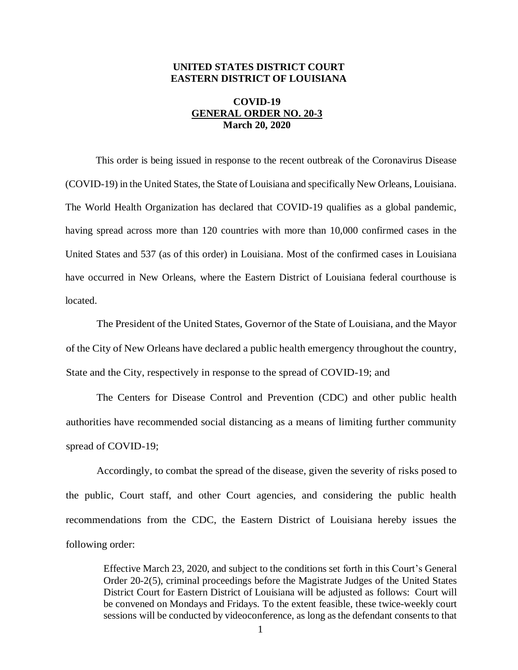## **UNITED STATES DISTRICT COURT EASTERN DISTRICT OF LOUISIANA**

## **COVID-19 GENERAL ORDER NO. 20-3 March 20, 2020**

This order is being issued in response to the recent outbreak of the Coronavirus Disease (COVID-19) in the United States, the State of Louisiana and specifically New Orleans, Louisiana. The World Health Organization has declared that COVID-19 qualifies as a global pandemic, having spread across more than 120 countries with more than 10,000 confirmed cases in the United States and 537 (as of this order) in Louisiana. Most of the confirmed cases in Louisiana have occurred in New Orleans, where the Eastern District of Louisiana federal courthouse is located.

The President of the United States, Governor of the State of Louisiana, and the Mayor of the City of New Orleans have declared a public health emergency throughout the country, State and the City, respectively in response to the spread of COVID-19; and

The Centers for Disease Control and Prevention (CDC) and other public health authorities have recommended social distancing as a means of limiting further community spread of COVID-19;

Accordingly, to combat the spread of the disease, given the severity of risks posed to the public, Court staff, and other Court agencies, and considering the public health recommendations from the CDC, the Eastern District of Louisiana hereby issues the following order:

Effective March 23, 2020, and subject to the conditions set forth in this Court's General Order 20-2(5), criminal proceedings before the Magistrate Judges of the United States District Court for Eastern District of Louisiana will be adjusted as follows: Court will be convened on Mondays and Fridays. To the extent feasible, these twice-weekly court sessions will be conducted by videoconference, as long as the defendant consents to that